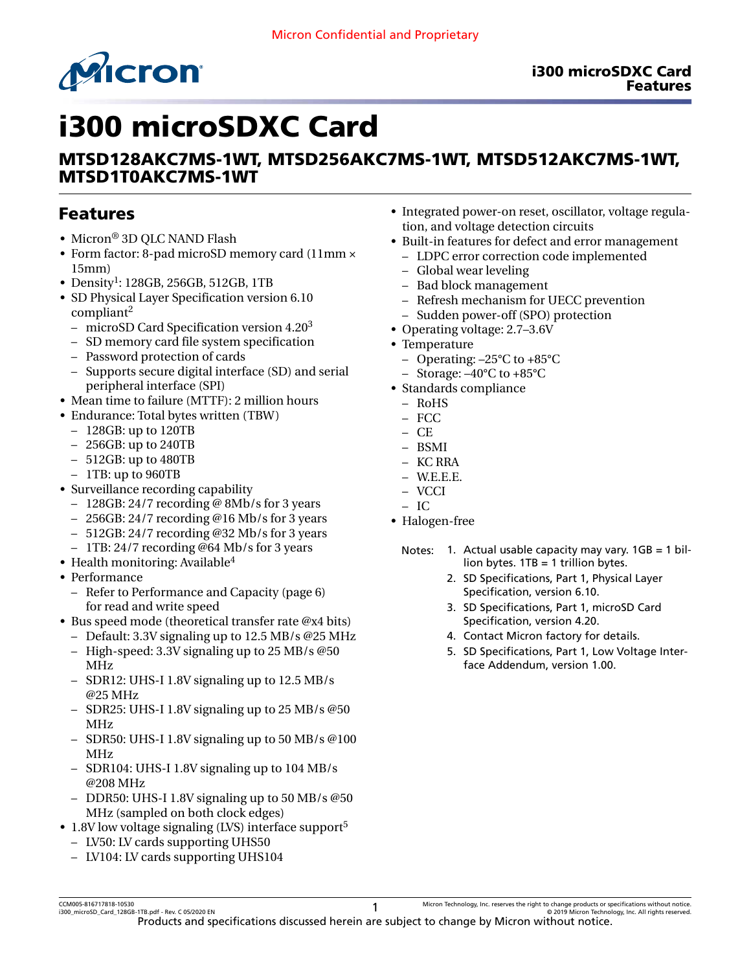

# i300 microSDXC Card

# MTSD128AKC7MS-1WT, MTSD256AKC7MS-1WT, MTSD512AKC7MS-1WT, MTSD1T0AKC7MS-1WT

# Features

- Micron® 3D QLC NAND Flash
- Form factor: 8-pad microSD memory card (11mm × 15mm)
- Density<sup>1</sup>: 128GB, 256GB, 512GB, 1TB
- SD Physical Layer Specification version 6.10 compliant<sup>2</sup>
	- microSD Card Specification version 4.20<sup>3</sup>
	- SD memory card file system specification
	- Password protection of cards
	- Supports secure digital interface (SD) and serial peripheral interface (SPI)
- Mean time to failure (MTTF): 2 million hours
- Endurance: Total bytes written (TBW)
	- 128GB: up to 120TB
	- 256GB: up to 240TB
	- 512GB: up to 480TB
	- 1TB: up to 960TB
- Surveillance recording capability
	- 128GB: 24/7 recording @ 8Mb/s for 3 years
	- 256GB: 24/7 recording @16 Mb/s for 3 years
	- 512GB: 24/7 recording @32 Mb/s for 3 years
	- 1TB: 24/7 recording @64 Mb/s for 3 years
- Health monitoring: Available<sup>4</sup>
- Performance
	- Refer to [Performance and Capacity](#page-5-0) (page 6) for read and write speed
- Bus speed mode (theoretical transfer rate @x4 bits)
- Default: 3.3V signaling up to 12.5 MB/s @25 MHz
- High-speed: 3.3V signaling up to 25 MB/s @50 MHz
- SDR12: UHS-I 1.8V signaling up to 12.5 MB/s @25 MHz
- SDR25: UHS-I 1.8V signaling up to 25 MB/s @50 MHz
- SDR50: UHS-I 1.8V signaling up to 50 MB/s @100 MHz
- SDR104: UHS-I 1.8V signaling up to 104 MB/s @208 MHz
- DDR50: UHS-I 1.8V signaling up to 50 MB/s @50 MHz (sampled on both clock edges)
- 1.8V low voltage signaling (LVS) interface support<sup>5</sup>
- LV50: LV cards supporting UHS50
- LV104: LV cards supporting UHS104
- Integrated power-on reset, oscillator, voltage regulation, and voltage detection circuits
- Built-in features for defect and error management
	- LDPC error correction code implemented
	- Global wear leveling
	- Bad block management
	- Refresh mechanism for UECC prevention
	- Sudden power-off (SPO) protection
- Operating voltage: 2.7–3.6V
- Temperature
	- Operating: –25°C to +85°C
	- $-$  Storage:  $-40^{\circ}$ C to  $+85^{\circ}$ C
- Standards compliance
	- RoHS
	- FCC
	- CE
	- BSMI
	- KC RRA
	- $-$  W.E.E.E.
	- VCCI
- IC
- Halogen-free
	- Notes: 1. Actual usable capacity may vary.  $1GB = 1$  billion bytes.  $1TB = 1$  trillion bytes.
		- 2. SD Specifications, Part 1, Physical Layer Specification, version 6.10.
		- 3. SD Specifications, Part 1, microSD Card Specification, version 4.20.
		- 4. Contact Micron factory for details.
		- 5. SD Specifications, Part 1, Low Voltage Interface Addendum, version 1.00.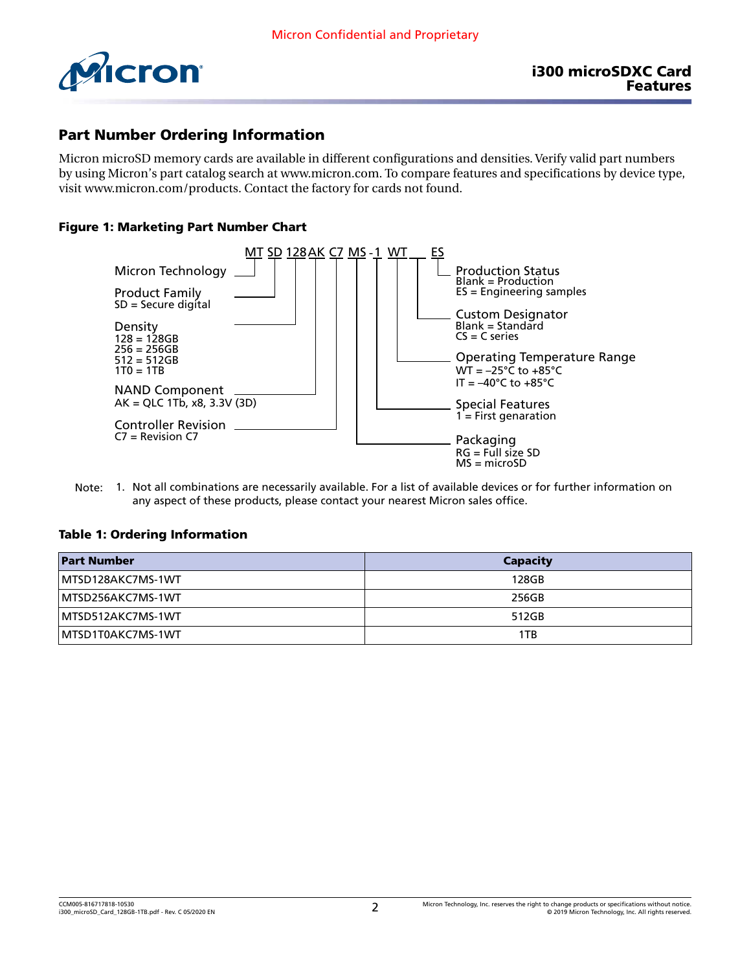

# Part Number Ordering Information

Micron microSD memory cards are available in different configurations and densities. Verify valid part numbers by using Micron's part catalog search at [www.micron.com](http://www.micron.com). To compare features and specifications by device type, visit [www.micron.com/products](http://www.micron.com/products). Contact the factory for cards not found.

## Figure 1: Marketing Part Number Chart



Note: 1. Not all combinations are necessarily available. For a list of available devices or for further information on any aspect of these products, please contact your nearest Micron sales office.

#### Table 1: Ordering Information

| <b>Part Number</b> | <b>Capacity</b> |
|--------------------|-----------------|
| MTSD128AKC7MS-1WT  | 128GB           |
| MTSD256AKC7MS-1WT  | 256GB           |
| IMTSD512AKC7MS-1WT | 512GB           |
| MTSD1T0AKC7MS-1WT  | 1TB             |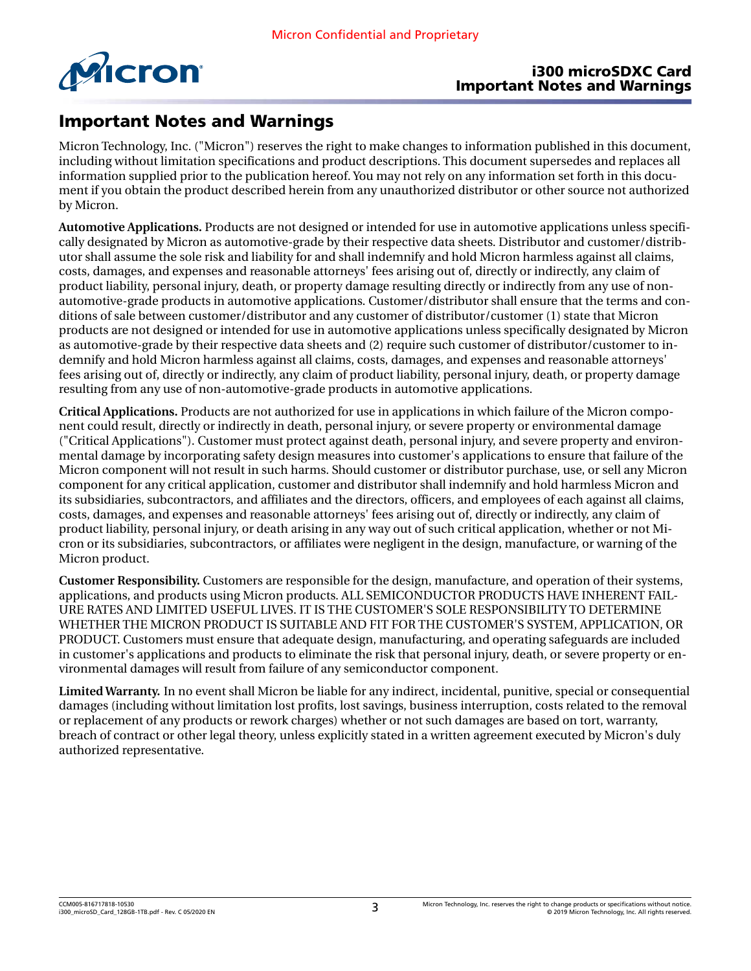

## i300 microSDXC Card Important Notes and Warnings

# Important Notes and Warnings

Micron Technology, Inc. ("Micron") reserves the right to make changes to information published in this document, including without limitation specifications and product descriptions. This document supersedes and replaces all information supplied prior to the publication hereof. You may not rely on any information set forth in this document if you obtain the product described herein from any unauthorized distributor or other source not authorized by Micron.

**Automotive Applications.** Products are not designed or intended for use in automotive applications unless specifically designated by Micron as automotive-grade by their respective data sheets. Distributor and customer/distributor shall assume the sole risk and liability for and shall indemnify and hold Micron harmless against all claims, costs, damages, and expenses and reasonable attorneys' fees arising out of, directly or indirectly, any claim of product liability, personal injury, death, or property damage resulting directly or indirectly from any use of nonautomotive-grade products in automotive applications. Customer/distributor shall ensure that the terms and conditions of sale between customer/distributor and any customer of distributor/customer (1) state that Micron products are not designed or intended for use in automotive applications unless specifically designated by Micron as automotive-grade by their respective data sheets and (2) require such customer of distributor/customer to indemnify and hold Micron harmless against all claims, costs, damages, and expenses and reasonable attorneys' fees arising out of, directly or indirectly, any claim of product liability, personal injury, death, or property damage resulting from any use of non-automotive-grade products in automotive applications.

**Critical Applications.** Products are not authorized for use in applications in which failure of the Micron component could result, directly or indirectly in death, personal injury, or severe property or environmental damage ("Critical Applications"). Customer must protect against death, personal injury, and severe property and environmental damage by incorporating safety design measures into customer's applications to ensure that failure of the Micron component will not result in such harms. Should customer or distributor purchase, use, or sell any Micron component for any critical application, customer and distributor shall indemnify and hold harmless Micron and its subsidiaries, subcontractors, and affiliates and the directors, officers, and employees of each against all claims, costs, damages, and expenses and reasonable attorneys' fees arising out of, directly or indirectly, any claim of product liability, personal injury, or death arising in any way out of such critical application, whether or not Micron or its subsidiaries, subcontractors, or affiliates were negligent in the design, manufacture, or warning of the Micron product.

**Customer Responsibility.** Customers are responsible for the design, manufacture, and operation of their systems, applications, and products using Micron products. ALL SEMICONDUCTOR PRODUCTS HAVE INHERENT FAIL-URE RATES AND LIMITED USEFUL LIVES. IT IS THE CUSTOMER'S SOLE RESPONSIBILITY TO DETERMINE WHETHER THE MICRON PRODUCT IS SUITABLE AND FIT FOR THE CUSTOMER'S SYSTEM, APPLICATION, OR PRODUCT. Customers must ensure that adequate design, manufacturing, and operating safeguards are included in customer's applications and products to eliminate the risk that personal injury, death, or severe property or environmental damages will result from failure of any semiconductor component.

**Limited Warranty.** In no event shall Micron be liable for any indirect, incidental, punitive, special or consequential damages (including without limitation lost profits, lost savings, business interruption, costs related to the removal or replacement of any products or rework charges) whether or not such damages are based on tort, warranty, breach of contract or other legal theory, unless explicitly stated in a written agreement executed by Micron's duly authorized representative.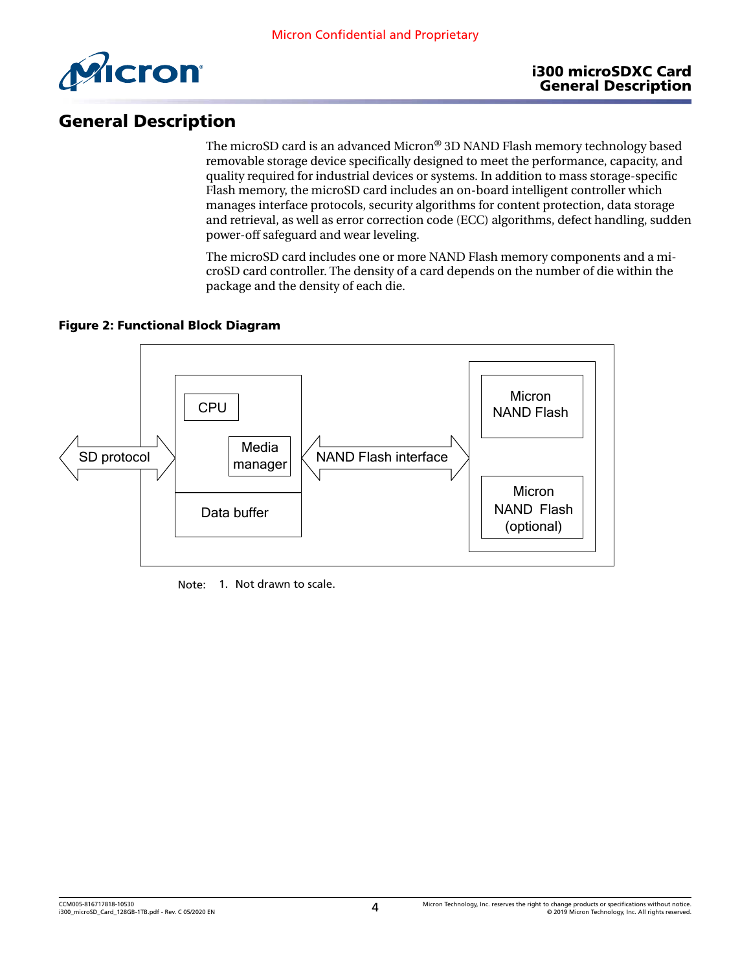

# General Description

The microSD card is an advanced Micron® 3D NAND Flash memory technology based removable storage device specifically designed to meet the performance, capacity, and quality required for industrial devices or systems. In addition to mass storage-specific Flash memory, the microSD card includes an on-board intelligent controller which manages interface protocols, security algorithms for content protection, data storage and retrieval, as well as error correction code (ECC) algorithms, defect handling, sudden power-off safeguard and wear leveling.

The microSD card includes one or more NAND Flash memory components and a microSD card controller. The density of a card depends on the number of die within the package and the density of each die.

## Figure 2: Functional Block Diagram



Note: 1. Not drawn to scale.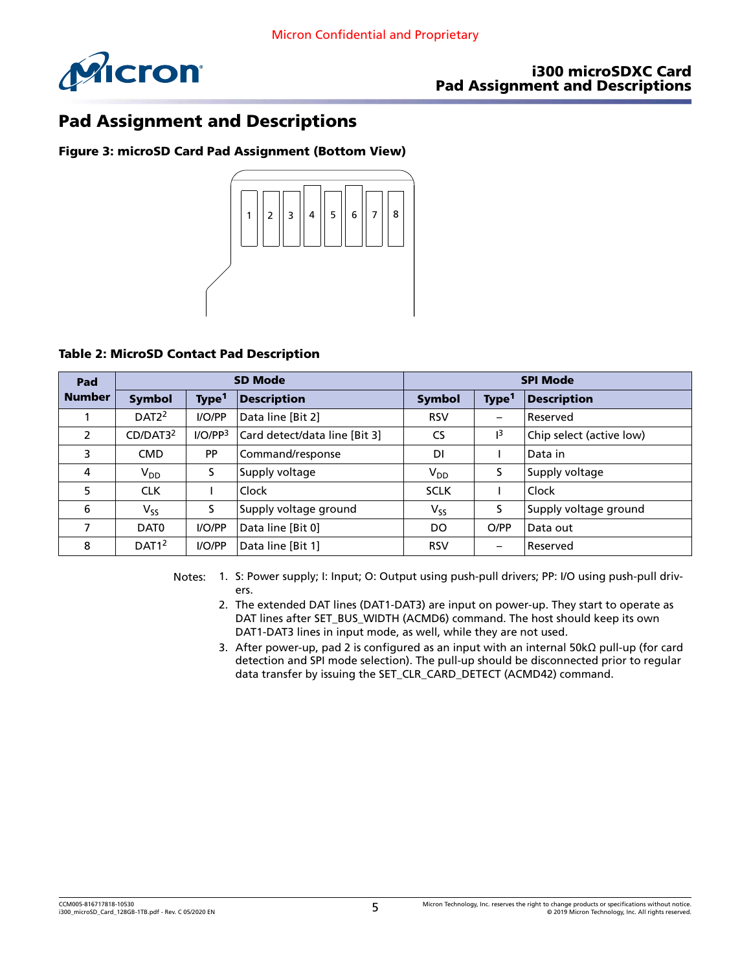

# Pad Assignment and Descriptions

Figure 3: microSD Card Pad Assignment (Bottom View)



## Table 2: MicroSD Contact Pad Description

| Pad           | <b>SD Mode</b>       |                     |                               |                       | <b>SPI Mode</b>   |                          |
|---------------|----------------------|---------------------|-------------------------------|-----------------------|-------------------|--------------------------|
| <b>Number</b> | <b>Symbol</b>        | Type <sup>1</sup>   | <b>Description</b>            | <b>Symbol</b>         | Type <sup>1</sup> | <b>Description</b>       |
|               | DATA <sup>2</sup>    | I/O/PP              | Data line [Bit 2]             | <b>RSV</b>            |                   | Reserved                 |
| 2             | CD/DAT3 <sup>2</sup> | I/O/PP <sup>3</sup> | Card detect/data line [Bit 3] | <b>CS</b>             | $1^3$             | Chip select (active low) |
| 3             | <b>CMD</b>           | <b>PP</b>           | Command/response              | <b>DI</b>             |                   | Data in                  |
| 4             | $V_{DD}$             | S                   | Supply voltage                | <b>V<sub>DD</sub></b> | S.                | Supply voltage           |
| 5             | <b>CLK</b>           |                     | Clock                         | <b>SCLK</b>           |                   | <b>Clock</b>             |
| 6             | $V_{SS}$             | S.                  | Supply voltage ground         | $V_{SS}$              | S                 | Supply voltage ground    |
| 7             | DAT <sub>0</sub>     | I/O/PP              | Data line [Bit 0]             | DO                    | O/PP              | Data out                 |
| 8             | DATA <sup>2</sup>    | I/O/PP              | Data line [Bit 1]             | <b>RSV</b>            | $\qquad \qquad$   | Reserved                 |

Notes: 1. S: Power supply; I: Input; O: Output using push-pull drivers; PP: I/O using push-pull drivers.

- 2. The extended DAT lines (DAT1-DAT3) are input on power-up. They start to operate as DAT lines after SET\_BUS\_WIDTH (ACMD6) command. The host should keep its own DAT1-DAT3 lines in input mode, as well, while they are not used.
- 3. After power-up, pad 2 is configured as an input with an internal 50kΩ pull-up (for card detection and SPI mode selection). The pull-up should be disconnected prior to regular data transfer by issuing the SET\_CLR\_CARD\_DETECT (ACMD42) command.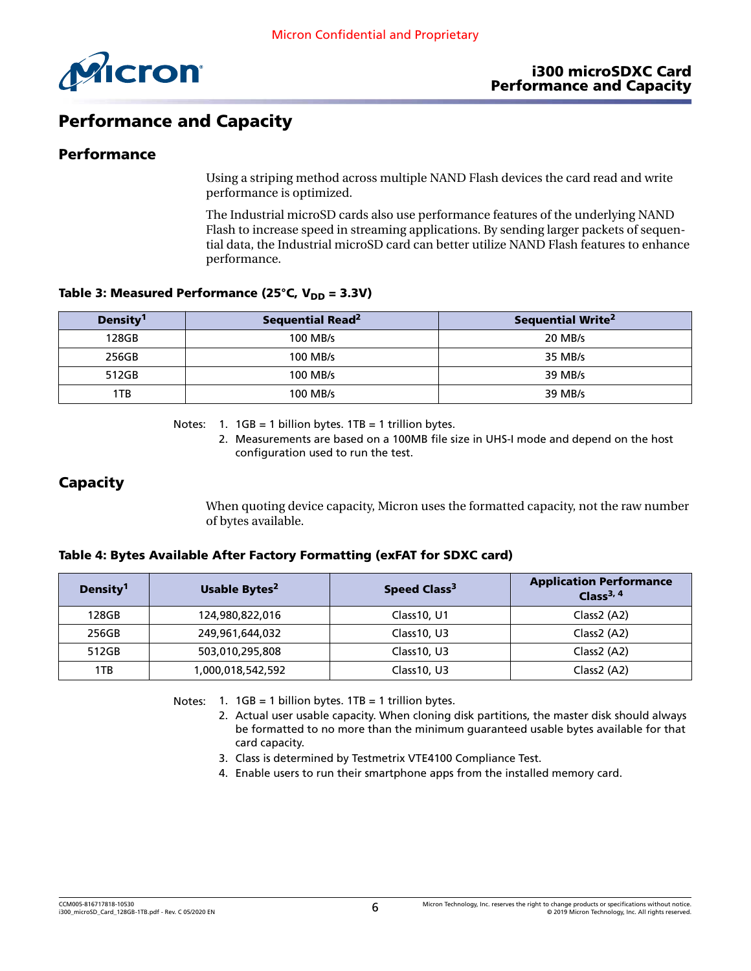<span id="page-5-0"></span>

# Performance and Capacity

## **Performance**

Using a striping method across multiple NAND Flash devices the card read and write performance is optimized.

The Industrial microSD cards also use performance features of the underlying NAND Flash to increase speed in streaming applications. By sending larger packets of sequential data, the Industrial microSD card can better utilize NAND Flash features to enhance performance.

#### Table 3: Measured Performance (25°C,  $V_{DD}$  = 3.3V)

| Density <sup>1</sup> | Sequential Read <sup>2</sup> | <b>Sequential Write<sup>2</sup></b> |
|----------------------|------------------------------|-------------------------------------|
| 128GB                | 100 MB/s                     | 20 MB/s                             |
| 256GB                | 100 MB/s                     | 35 MB/s                             |
| 512GB                | 100 MB/s                     | 39 MB/s                             |
| 1TB                  | 100 MB/s                     | 39 MB/s                             |

Notes:  $1. 1GB = 1$  billion bytes.  $1TB = 1$  trillion bytes.

2. Measurements are based on a 100MB file size in UHS-I mode and depend on the host configuration used to run the test.

# Capacity

When quoting device capacity, Micron uses the formatted capacity, not the raw number of bytes available.

#### Table 4: Bytes Available After Factory Formatting (exFAT for SDXC card)

| Density <sup>1</sup> | Usable Bytes <sup>2</sup> | Speed Class <sup>3</sup> | <b>Application Performance</b><br>Class $3, 4$ |
|----------------------|---------------------------|--------------------------|------------------------------------------------|
| 128GB                | 124,980,822,016           | Class 10, U1             | Class $2(A2)$                                  |
| 256GB                | 249,961,644,032           | Class 10, U3             | Class $2(A2)$                                  |
| 512GB                | 503,010,295,808           | Class 10, U3             | Class $2(A2)$                                  |
| 1TB                  | ,000,018,542,592          | Class 10, U3             | Class $2(A2)$                                  |

Notes:  $1. 1GB = 1$  billion bytes.  $1TB = 1$  trillion bytes.

- 2. Actual user usable capacity. When cloning disk partitions, the master disk should always be formatted to no more than the minimum guaranteed usable bytes available for that card capacity.
- 3. Class is determined by Testmetrix VTE4100 Compliance Test.
- 4. Enable users to run their smartphone apps from the installed memory card.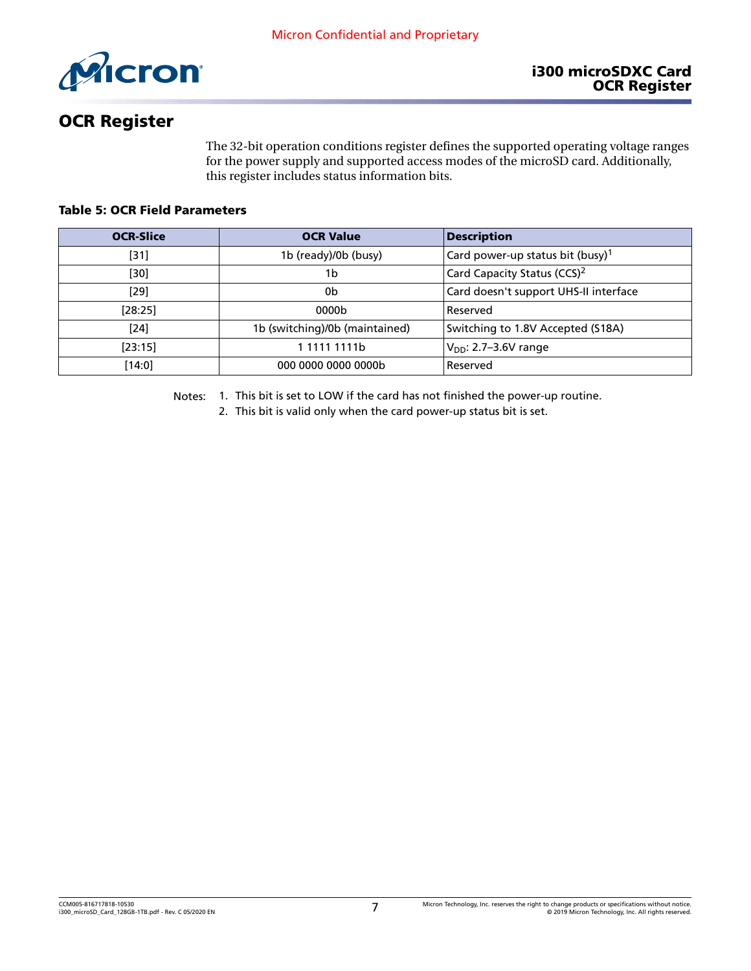

# OCR Register

The 32-bit operation conditions register defines the supported operating voltage ranges for the power supply and supported access modes of the microSD card. Additionally, this register includes status information bits.

## Table 5: OCR Field Parameters

| <b>OCR-Slice</b> | <b>OCR Value</b>               | Description                                  |
|------------------|--------------------------------|----------------------------------------------|
| $[31]$           | 1b (ready)/0b (busy)           | Card power-up status bit (busy) <sup>1</sup> |
| [30]             | 1b                             | Card Capacity Status (CCS) <sup>2</sup>      |
| $[29]$           | 0b                             | Card doesn't support UHS-II interface        |
| $[28:25]$        | 0000b                          | Reserved                                     |
| $[24]$           | 1b (switching)/0b (maintained) | Switching to 1.8V Accepted (S18A)            |
| $[23:15]$        | 1 1111 1111b                   | $V_{DD}$ : 2.7–3.6V range                    |
| $[14:0]$         | 000 0000 0000 0000b            | Reserved                                     |

Notes: 1. This bit is set to LOW if the card has not finished the power-up routine.

2. This bit is valid only when the card power-up status bit is set.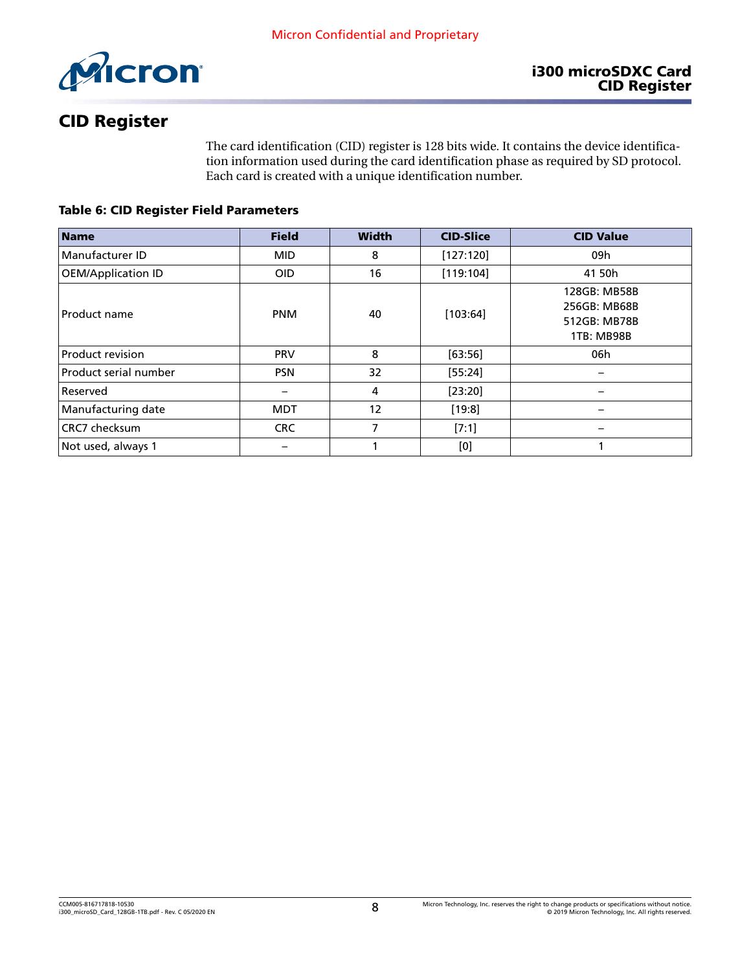

# CID Register

The card identification (CID) register is 128 bits wide. It contains the device identification information used during the card identification phase as required by SD protocol. Each card is created with a unique identification number.

## Table 6: CID Register Field Parameters

| <b>Name</b>               | <b>Field</b> | Width | <b>CID-Slice</b> | <b>CID Value</b>                                                  |
|---------------------------|--------------|-------|------------------|-------------------------------------------------------------------|
| Manufacturer ID           | <b>MID</b>   | 8     | [127:120]        | 09h                                                               |
| <b>OEM/Application ID</b> | <b>OID</b>   | 16    | [119:104]        | 41 50h                                                            |
| Product name              | <b>PNM</b>   | 40    | [103:64]         | 128GB: MB58B<br>256GB: MB68B<br>512GB: MB78B<br><b>1TB: MB98B</b> |
| Product revision          | <b>PRV</b>   | 8     | [63:56]          | 06h                                                               |
| Product serial number     | <b>PSN</b>   | 32    | [55:24]          | $\overline{\phantom{0}}$                                          |
| Reserved                  |              | 4     | [23:20]          | -                                                                 |
| Manufacturing date        | <b>MDT</b>   | 12    | [19:8]           | —                                                                 |
| CRC7 checksum             | CRC          | 7     | [7:1]            |                                                                   |
| Not used, always 1        |              |       | [0]              |                                                                   |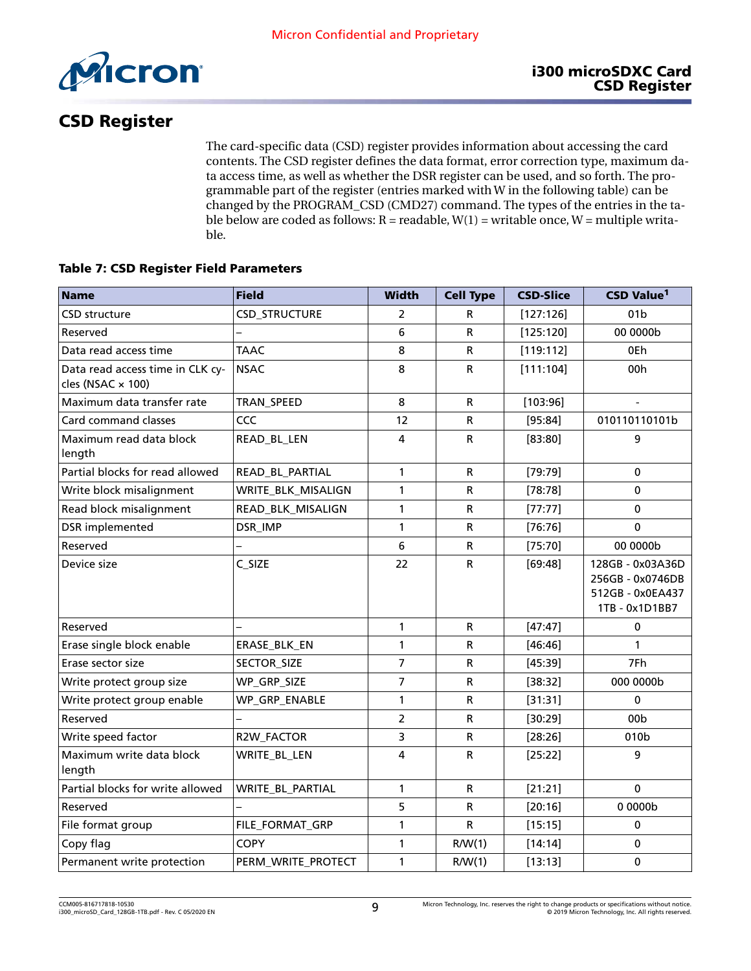

# CSD Register

The card-specific data (CSD) register provides information about accessing the card contents. The CSD register defines the data format, error correction type, maximum data access time, as well as whether the DSR register can be used, and so forth. The programmable part of the register (entries marked with W in the following table) can be changed by the PROGRAM\_CSD (CMD27) command. The types of the entries in the table below are coded as follows:  $R =$  readable,  $W(1) =$  writable once,  $W =$  multiple writable.

## Table 7: CSD Register Field Parameters

| <b>Name</b>                                                  | <b>Field</b>         | <b>Width</b>            | <b>Cell Type</b> | <b>CSD-Slice</b> | <b>CSD Value<sup>1</sup></b>                                               |
|--------------------------------------------------------------|----------------------|-------------------------|------------------|------------------|----------------------------------------------------------------------------|
| CSD structure                                                | <b>CSD_STRUCTURE</b> | $\overline{2}$          | R                | [127:126]        | 01 <sub>b</sub>                                                            |
| Reserved                                                     |                      | 6                       | $\mathsf{R}$     | [125:120]        | 00 0000b                                                                   |
| Data read access time                                        | <b>TAAC</b>          | 8                       | ${\sf R}$        | [119:112]        | 0Eh                                                                        |
| Data read access time in CLK cy-<br>cles (NSAC $\times$ 100) | <b>NSAC</b>          | 8                       | $\mathsf{R}$     | [111:104]        | 00h                                                                        |
| Maximum data transfer rate                                   | TRAN_SPEED           | 8                       | R                | [103:96]         | $\overline{a}$                                                             |
| Card command classes                                         | CCC                  | 12                      | R                | [95:84]          | 010110110101b                                                              |
| Maximum read data block<br>length                            | READ_BL_LEN          | 4                       | R                | [83:80]          | 9                                                                          |
| Partial blocks for read allowed                              | READ_BL_PARTIAL      | $\mathbf{1}$            | ${\sf R}$        | [79:79]          | $\mathbf 0$                                                                |
| Write block misalignment                                     | WRITE_BLK_MISALIGN   | $\mathbf{1}$            | ${\sf R}$        | [78:78]          | $\pmb{0}$                                                                  |
| Read block misalignment                                      | READ_BLK_MISALIGN    | $\mathbf{1}$            | ${\sf R}$        | [77:77]          | $\mathbf 0$                                                                |
| DSR implemented                                              | DSR_IMP              | $\mathbf{1}$            | R                | [76:76]          | 0                                                                          |
| Reserved                                                     |                      | 6                       | ${\sf R}$        | [75:70]          | 00 0000b                                                                   |
| Device size                                                  | C_SIZE               | 22                      | ${\sf R}$        | [69:48]          | 128GB - 0x03A36D<br>256GB - 0x0746DB<br>512GB - 0x0EA437<br>1TB - 0x1D1BB7 |
| Reserved                                                     |                      | $\mathbf{1}$            | R                | [47:47]          | 0                                                                          |
| Erase single block enable                                    | ERASE_BLK_EN         | $\mathbf{1}$            | $\mathsf{R}$     | [46:46]          | 1                                                                          |
| Erase sector size                                            | SECTOR_SIZE          | $\overline{7}$          | ${\sf R}$        | [45:39]          | 7Fh                                                                        |
| Write protect group size                                     | WP_GRP_SIZE          | $\overline{7}$          | R                | [38:32]          | 000 0000b                                                                  |
| Write protect group enable                                   | WP_GRP_ENABLE        | 1                       | $\mathsf{R}$     | [31:31]          | 0                                                                          |
| Reserved                                                     |                      | $\overline{2}$          | R                | [30:29]          | 00b                                                                        |
| Write speed factor                                           | R2W_FACTOR           | $\overline{3}$          | R                | [28:26]          | 010b                                                                       |
| Maximum write data block<br>length                           | WRITE_BL_LEN         | $\overline{\mathbf{4}}$ | ${\sf R}$        | [25:22]          | 9                                                                          |
| Partial blocks for write allowed                             | WRITE_BL_PARTIAL     | $\mathbf{1}$            | ${\sf R}$        | [21:21]          | $\mathbf 0$                                                                |
| Reserved                                                     |                      | 5                       | R                | [20:16]          | 0 0000b                                                                    |
| File format group                                            | FILE_FORMAT_GRP      | 1                       | $\mathsf{R}$     | [15:15]          | 0                                                                          |
| Copy flag                                                    | <b>COPY</b>          | $\mathbf{1}$            | R/W(1)           | [14:14]          | $\mathbf 0$                                                                |
| Permanent write protection                                   | PERM_WRITE_PROTECT   | $\mathbf{1}$            | R/W(1)           | [13:13]          | $\pmb{0}$                                                                  |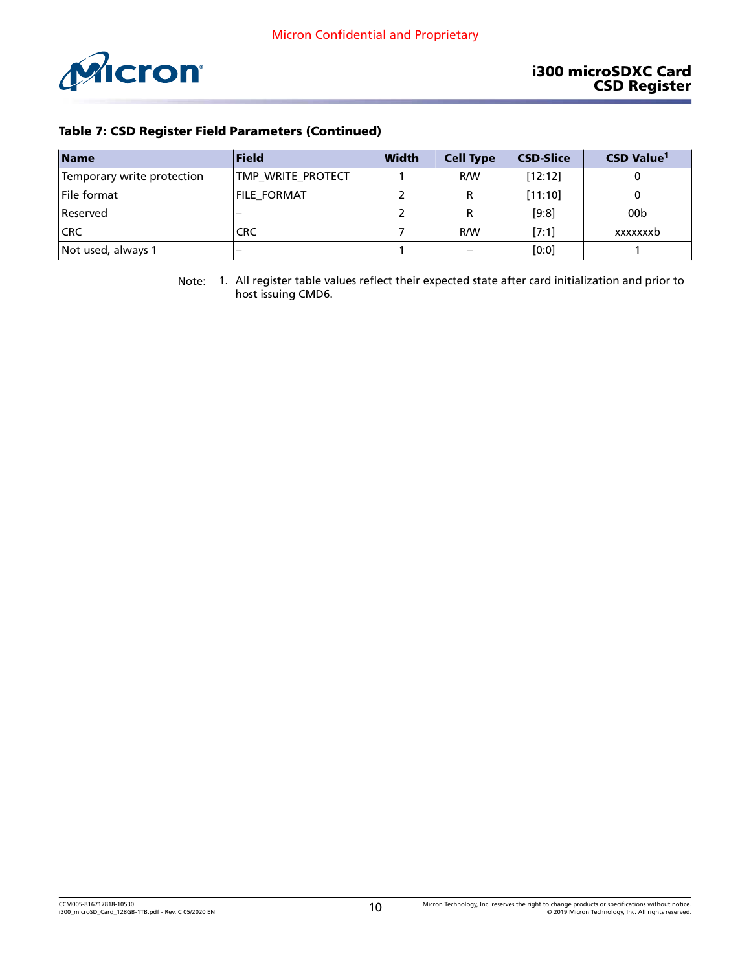<span id="page-9-0"></span>

#### Table 7: CSD Register Field Parameters (Continued)

| <b>Name</b>                | Field              | <b>Width</b> | <b>Cell Type</b>         | <b>CSD-Slice</b> | CSD Value <sup>1</sup> |
|----------------------------|--------------------|--------------|--------------------------|------------------|------------------------|
| Temporary write protection | TMP WRITE PROTECT  |              | R/W                      | [12:12]          |                        |
| File format                | <b>FILE FORMAT</b> |              |                          | [11:10]          |                        |
| Reserved                   |                    |              | R                        | [9:8]            | 00 <sub>b</sub>        |
| <b>CRC</b>                 | <b>CRC</b>         |              | R/W                      | [7:1]            | xxxxxxxb               |
| Not used, always 1         |                    |              | $\overline{\phantom{0}}$ | [0:0]            |                        |

Note: 1. All register table values reflect their expected state after card initialization and prior to host issuing CMD6.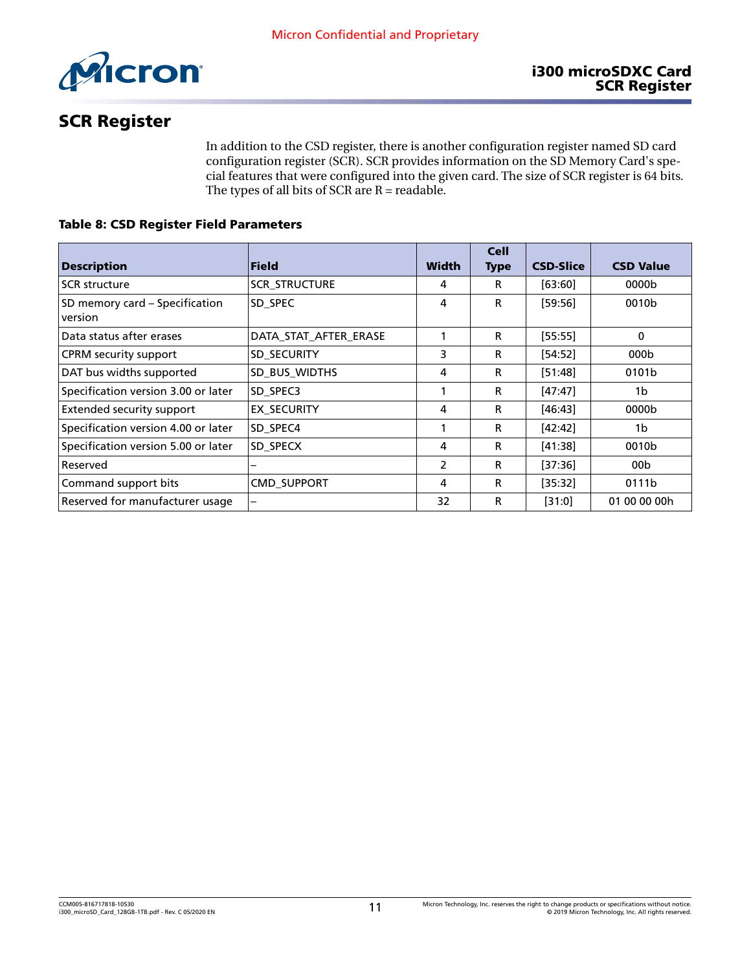

# SCR Register

In addition to the CSD register, there is another configuration register named SD card configuration register (SCR). SCR provides information on the SD Memory Card's special features that were configured into the given card. The size of SCR register is 64 bits. The types of all bits of SCR are  $R =$  readable.

## Table 8: CSD Register Field Parameters

| <b>Description</b>                        | <b>Field</b>          | <b>Width</b> | <b>Cell</b><br><b>Type</b> | <b>CSD-Slice</b> | <b>CSD Value</b> |
|-------------------------------------------|-----------------------|--------------|----------------------------|------------------|------------------|
| <b>SCR</b> structure                      | <b>SCR STRUCTURE</b>  | 4            | R                          | [63:60]          | 0000b            |
| SD memory card – Specification<br>version | SD SPEC               | 4            | R                          | [59:56]          | 0010b            |
| Data status after erases                  | DATA STAT AFTER ERASE |              | R                          | [55:55]          | 0                |
| CPRM security support                     | SD SECURITY           | 3            | R                          | [54:52]          | 000 <sub>b</sub> |
| DAT bus widths supported                  | SD_BUS_WIDTHS         | 4            | R                          | [51:48]          | 0101b            |
| Specification version 3.00 or later       | SD SPEC3              |              | R                          | $[47:47]$        | 1b               |
| <b>Extended security support</b>          | <b>EX SECURITY</b>    | 4            | R                          | [46:43]          | 0000b            |
| Specification version 4.00 or later       | SD SPEC4              |              | R                          | $[42:42]$        | 1b               |
| Specification version 5.00 or later       | SD SPECX              | 4            | R                          | [41:38]          | 0010b            |
| Reserved                                  |                       | 2            | R                          | $[37:36]$        | 00 <sub>b</sub>  |
| Command support bits                      | <b>CMD SUPPORT</b>    | 4            | R                          | [35:32]          | 0111b            |
| Reserved for manufacturer usage           | —                     | 32           | R                          | [31:0]           | 01 00 00 00h     |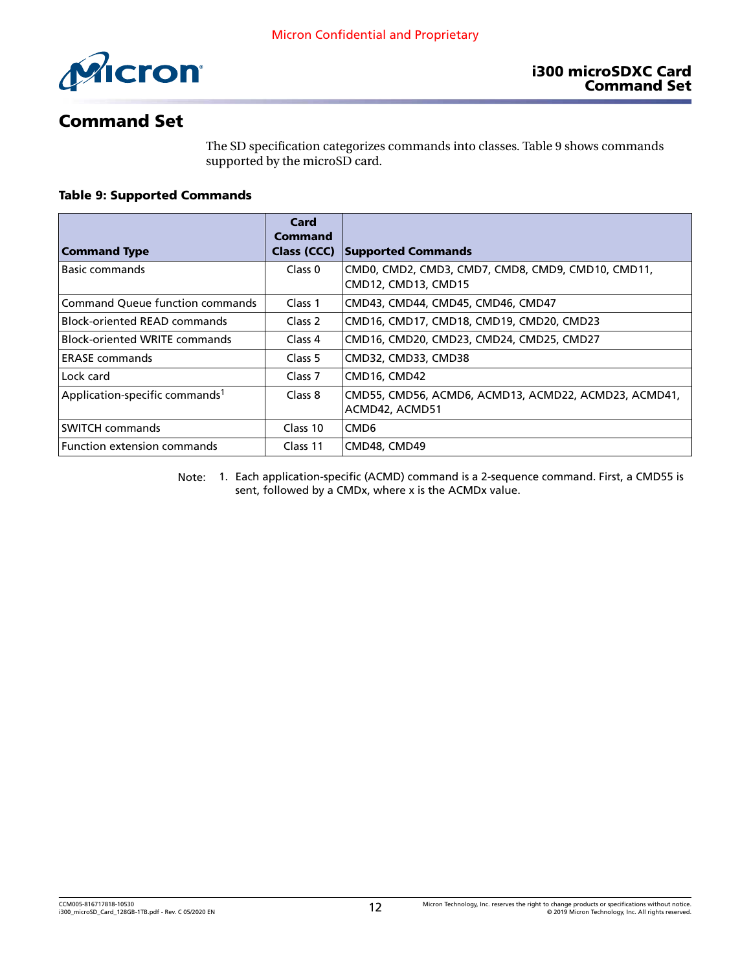

# Command Set

The SD specification categorizes commands into classes. Table 9 shows commands supported by the microSD card.

## Table 9: Supported Commands

|                                            | Card<br>Command    |                                                                          |
|--------------------------------------------|--------------------|--------------------------------------------------------------------------|
| <b>Command Type</b>                        | Class (CCC)        | <b>Supported Commands</b>                                                |
| Basic commands                             | Class 0            | CMD0, CMD2, CMD3, CMD7, CMD8, CMD9, CMD10, CMD11,<br>CMD12, CMD13, CMD15 |
| <b>Command Queue function commands</b>     | Class 1            | CMD43, CMD44, CMD45, CMD46, CMD47                                        |
| <b>Block-oriented READ commands</b>        | Class 2            | CMD16, CMD17, CMD18, CMD19, CMD20, CMD23                                 |
| <b>Block-oriented WRITE commands</b>       | Class 4            | CMD16, CMD20, CMD23, CMD24, CMD25, CMD27                                 |
| <b>ERASE</b> commands                      | Class 5            | CMD32, CMD33, CMD38                                                      |
| Lock card                                  | Class <sub>7</sub> | CMD16, CMD42                                                             |
| Application-specific commands <sup>1</sup> | Class 8            | CMD55, CMD56, ACMD6, ACMD13, ACMD22, ACMD23, ACMD41,<br>ACMD42, ACMD51   |
| <b>SWITCH commands</b>                     | Class 10           | CMD <sub>6</sub>                                                         |
| Function extension commands                | Class 11           | CMD48, CMD49                                                             |

Note: 1. Each application-specific (ACMD) command is a 2-sequence command. First, a CMD55 is sent, followed by a CMDx, where x is the ACMDx value.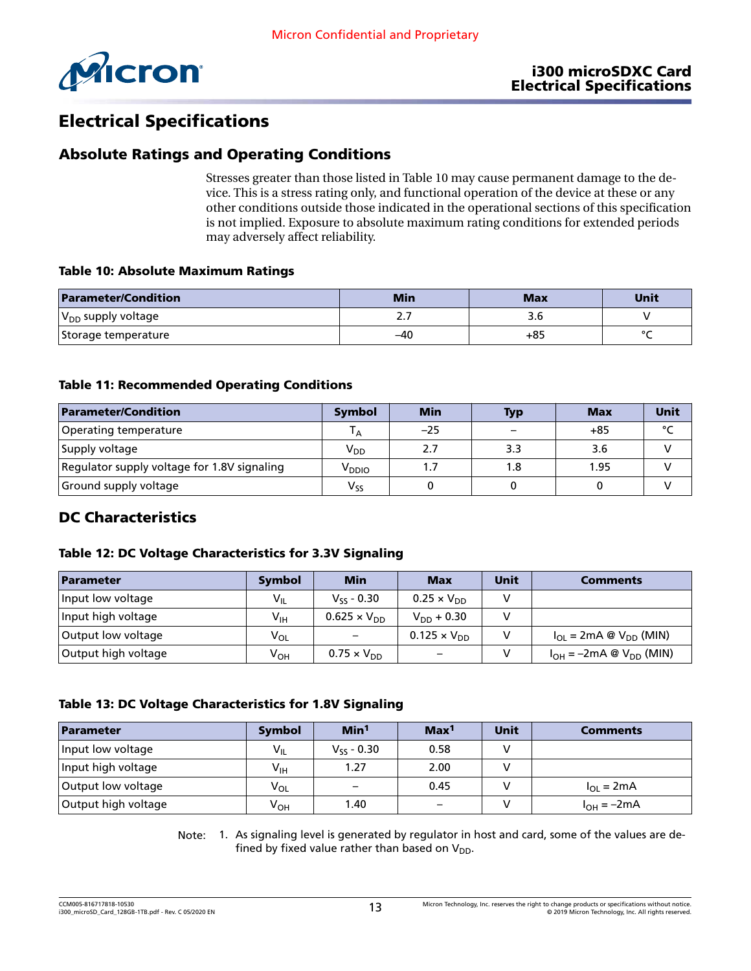

# Electrical Specifications

# Absolute Ratings and Operating Conditions

Stresses greater than those listed in Table 10 may cause permanent damage to the device. This is a stress rating only, and functional operation of the device at these or any other conditions outside those indicated in the operational sections of this specification is not implied. Exposure to absolute maximum rating conditions for extended periods may adversely affect reliability.

#### Table 10: Absolute Maximum Ratings

| <b>Parameter/Condition</b> | <b>Min</b> | Max   | Unit   |
|----------------------------|------------|-------|--------|
| $ V_{DD}$ supply voltage   |            |       |        |
| Storage temperature        | $-40$      | $+85$ | $\sim$ |

#### Table 11: Recommended Operating Conditions

| <b>Parameter/Condition</b>                  | <b>Symbol</b>     | Min   | Typ | <b>Max</b> | Unit    |
|---------------------------------------------|-------------------|-------|-----|------------|---------|
| Operating temperature                       | ΙA                | $-25$ |     | $+85$      | $\circ$ |
| Supply voltage                              | $V_{DD}$          | 2.7   | 3.3 | 3.6        |         |
| Regulator supply voltage for 1.8V signaling | V <sub>DDIO</sub> | 1.7   | 1.8 | 1.95       |         |
| Ground supply voltage                       | $V_{SS}$          |       |     |            |         |

# DC Characteristics

## Table 12: DC Voltage Characteristics for 3.3V Signaling

| Parameter           | <b>Symbol</b>              | <b>Min</b>            | <b>Max</b>            | <b>Unit</b> | <b>Comments</b>                      |
|---------------------|----------------------------|-----------------------|-----------------------|-------------|--------------------------------------|
| Input low voltage   | $\mathsf{V}_{\mathsf{IL}}$ | $V_{ss}$ - 0.30       | $0.25 \times V_{DD}$  |             |                                      |
| Input high voltage  | V <sub>IH</sub>            | $0.625 \times V_{DD}$ | $V_{DD} + 0.30$       |             |                                      |
| Output low voltage  | $V_{OL}$                   |                       | $0.125 \times V_{DD}$ |             | $I_{OL}$ = 2mA @ $V_{DD}$ (MIN)      |
| Output high voltage | Ѵѹ                         | $0.75 \times V_{DD}$  |                       |             | $I_{OH} = -2mA \otimes V_{DD}$ (MIN) |

#### Table 13: DC Voltage Characteristics for 1.8V Signaling

| Parameter           | <b>Symbol</b> | Min <sup>1</sup> | Max <sup>1</sup>         | Unit | <b>Comments</b>      |
|---------------------|---------------|------------------|--------------------------|------|----------------------|
| Input low voltage   | $V_{IL}$      | $V_{55}$ - 0.30  | 0.58                     |      |                      |
| Input high voltage  | $V_{IH}$      | 1.27             | 2.00                     |      |                      |
| Output low voltage  | $V_{OL}$      |                  | 0.45                     |      | $I_{\Omega I} = 2mA$ |
| Output high voltage | $V_{OH}$      | 1.40             | $\overline{\phantom{0}}$ |      | $I_{OH} = -2mA$      |

Note: 1. As signaling level is generated by regulator in host and card, some of the values are defined by fixed value rather than based on  $V_{DD}$ .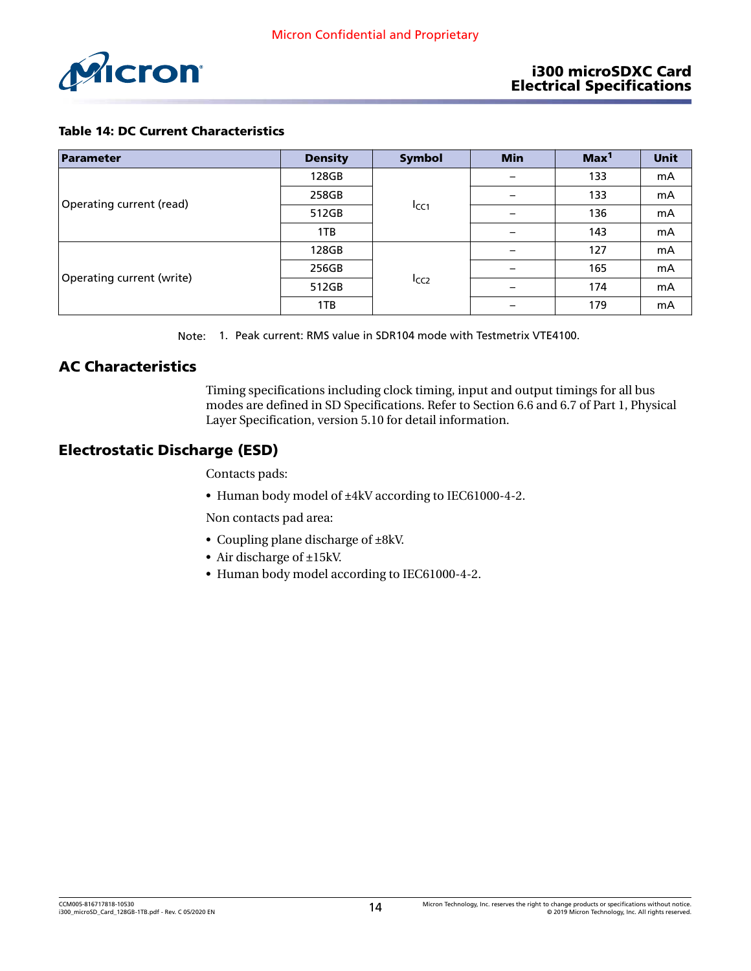

## Table 14: DC Current Characteristics

| Parameter                 | <b>Density</b>                                     | <b>Symbol</b>    | <b>Min</b>               | Max <sup>1</sup> | <b>Unit</b> |
|---------------------------|----------------------------------------------------|------------------|--------------------------|------------------|-------------|
| Operating current (read)  | 128GB                                              | I <sub>CC1</sub> |                          | 133              | mA          |
|                           | 258GB                                              |                  |                          | 133              | mA          |
|                           | 512GB                                              |                  |                          | 136              | mA          |
|                           | 1TB                                                |                  |                          | 143              | mA          |
|                           | 128GB<br>256GB<br>I <sub>CC2</sub><br>512GB<br>1TB |                  | 127                      | mA               |             |
| Operating current (write) |                                                    |                  | $\overline{\phantom{0}}$ | 165              | mA          |
|                           |                                                    |                  | $\qquad \qquad$          | 174              | mA          |
|                           |                                                    |                  | $\overline{\phantom{0}}$ | 179              | mA          |

Note: 1. Peak current: RMS value in SDR104 mode with Testmetrix VTE4100.

# AC Characteristics

Timing specifications including clock timing, input and output timings for all bus modes are defined in SD Specifications. Refer to Section 6.6 and 6.7 of Part 1, Physical Layer Specification, version 5.10 for detail information.

# Electrostatic Discharge (ESD)

Contacts pads:

• Human body model of ±4kV according to IEC61000-4-2.

Non contacts pad area:

- Coupling plane discharge of ±8kV.
- Air discharge of ±15kV.
- Human body model according to IEC61000-4-2.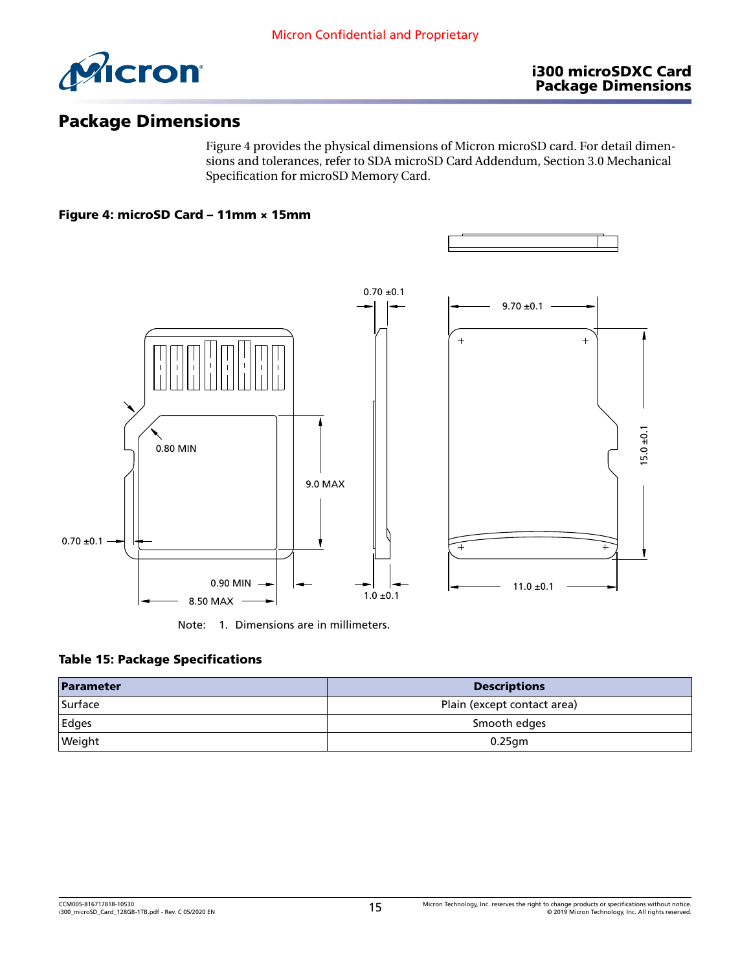

# Package Dimensions

Figure 4 provides the physical dimensions of Micron microSD card. For detail dimensions and tolerances, refer to SDA microSD Card Addendum, Section 3.0 Mechanical Specification for microSD Memory Card.

## Figure 4: microSD Card – 11mm × 15mm



Note: 1. Dimensions are in millimeters.

## Table 15: Package Specifications

| Parameter | <b>Descriptions</b>         |  |  |
|-----------|-----------------------------|--|--|
| Surface   | Plain (except contact area) |  |  |
| Edges     | Smooth edges                |  |  |
| Weight    | $0.25$ gm                   |  |  |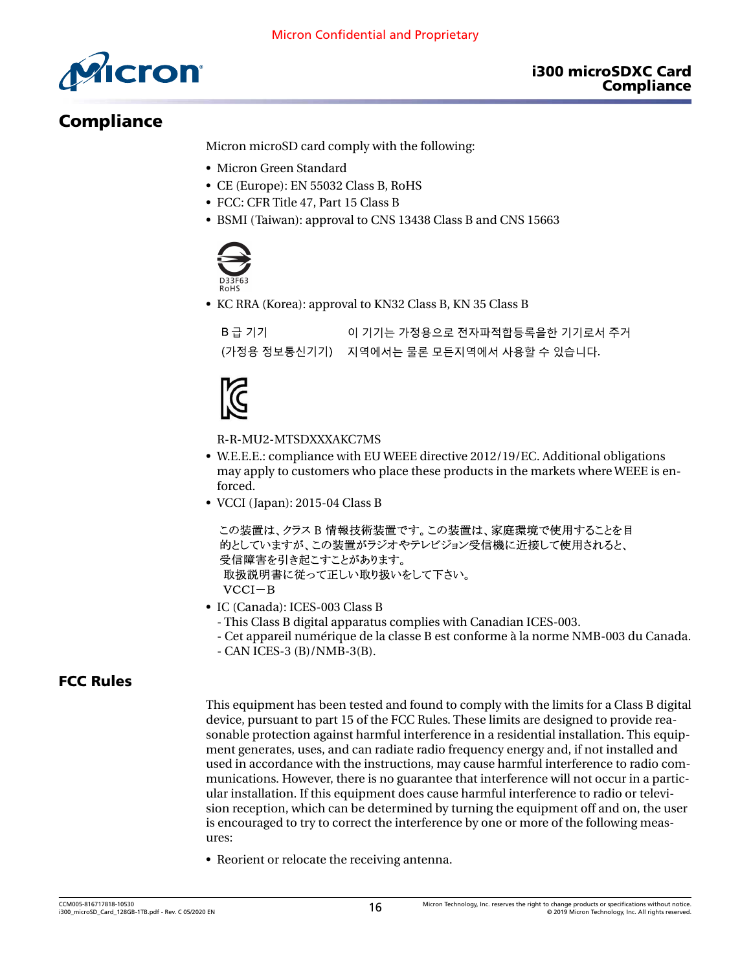

# **Compliance**

Micron microSD card comply with the following:

- Micron Green Standard
- CE (Europe): EN 55032 Class B, RoHS
- FCC: CFR Title 47, Part 15 Class B
- BSMI (Taiwan): approval to CNS 13438 Class B and CNS 15663



• KC RRA (Korea): approval to KN32 Class B, KN 35 Class B

| B급 기기 | 이 기기는 가정용으로 전자파적합등록을한 기기로서 주거            |
|-------|------------------------------------------|
|       | (가정용 정보통신기기) 지역에서는 물론 모든지역에서 사용할 수 있습니다. |



R-R-MU2-MTSDXXXAKC7MS

- W.E.E.E.: compliance with EU WEEE directive 2012/19/EC. Additional obligations may apply to customers who place these products in the markets where WEEE is enforced.
- VCCI (Japan): 2015-04 Class B

```
この装置は、クラス B 情報技術装置です。この装置は、家庭環境で使用することを目
的としていますが、この装置がラジオやテレビジョン受信機に近接して使用されると、
受信障害を引き起こすことがあります。
取扱説明書に従って正しい取り扱いをして下さい。
VCCI-B
```
- IC (Canada): ICES-003 Class B
	- This Class B digital apparatus complies with Canadian ICES-003.
	- Cet appareil numérique de la classe B est conforme à la norme NMB-003 du Canada.
	- CAN ICES-3 (B)/NMB-3(B).

# FCC Rules

This equipment has been tested and found to comply with the limits for a Class B digital device, pursuant to part 15 of the FCC Rules. These limits are designed to provide reasonable protection against harmful interference in a residential installation. This equipment generates, uses, and can radiate radio frequency energy and, if not installed and used in accordance with the instructions, may cause harmful interference to radio communications. However, there is no guarantee that interference will not occur in a particular installation. If this equipment does cause harmful interference to radio or television reception, which can be determined by turning the equipment off and on, the user is encouraged to try to correct the interference by one or more of the following measures:

• Reorient or relocate the receiving antenna.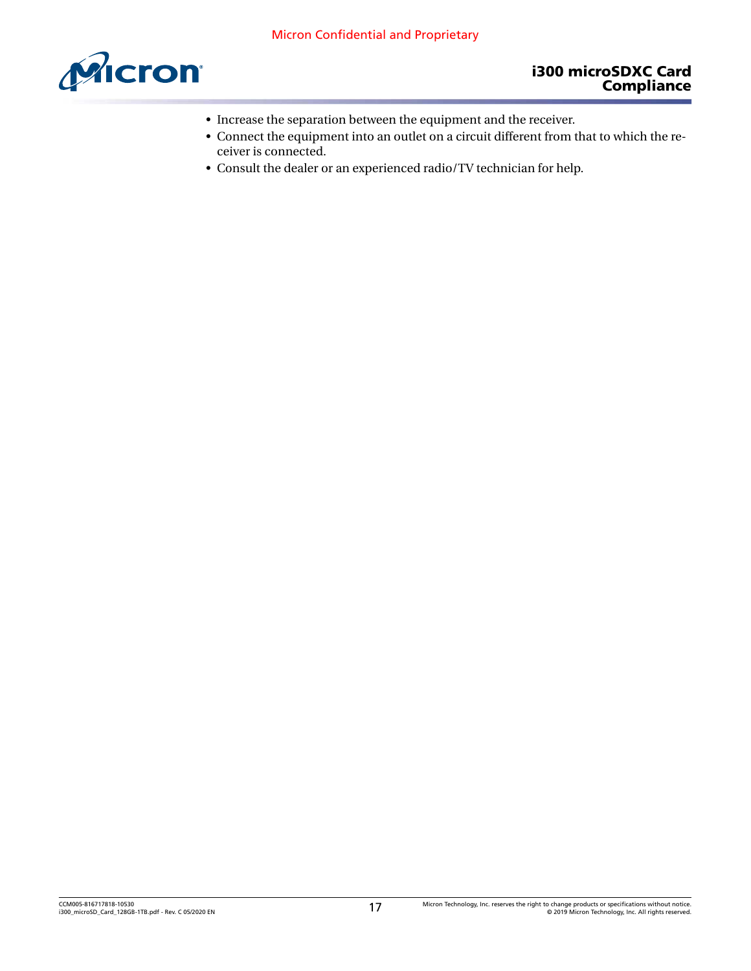Micron Confidential and Proprietary



- Increase the separation between the equipment and the receiver.
- Connect the equipment into an outlet on a circuit different from that to which the receiver is connected.
- Consult the dealer or an experienced radio/TV technician for help.